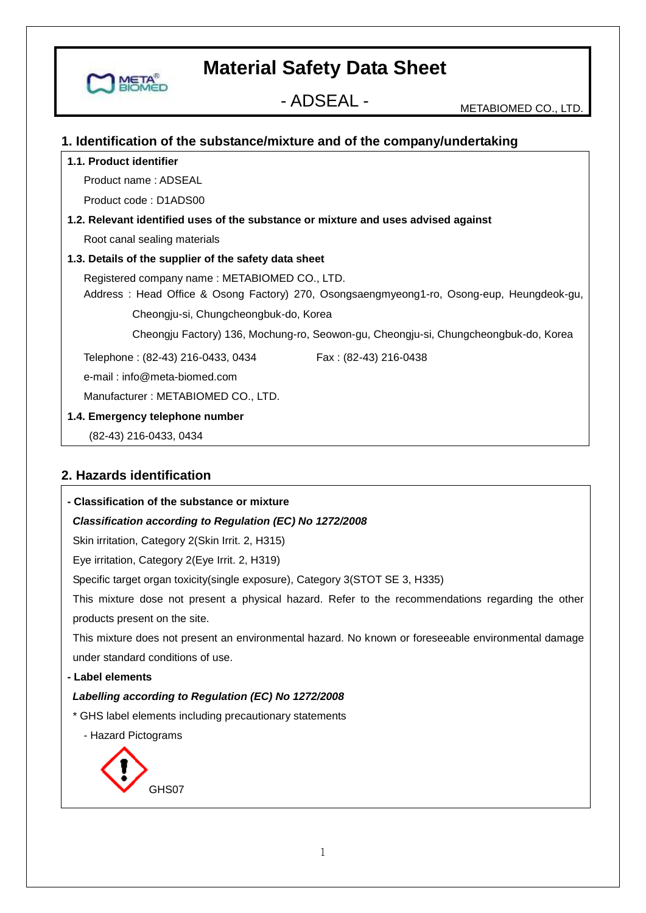- ADSEAL - METABIOMED CO., LTD.

#### **1. Identification of the substance/mixture and of the company/undertaking**

#### **1.1. Product identifier**

MET

Product name : ADSEAL

Product code : D1ADS00

### **1.2. Relevant identified uses of the substance or mixture and uses advised against**

Root canal sealing materials

#### **1.3. Details of the supplier of the safety data sheet**

Registered company name : METABIOMED CO., LTD.

 Address : Head Office & Osong Factory) 270, Osongsaengmyeong1-ro, Osong-eup, Heungdeok-gu, Cheongju-si, Chungcheongbuk-do, Korea

Cheongju Factory) 136, Mochung-ro, Seowon-gu, Cheongju-si, Chungcheongbuk-do, Korea

Telephone : (82-43) 216-0433, 0434 Fax : (82-43) 216-0438

e-mail : info@meta-biomed.com

Manufacturer : METABIOMED CO., LTD.

#### **1.4. Emergency telephone number**

GHS07

(82-43) 216-0433, 0434

#### **2. Hazards identification**

| - Classification of the substance or mixture                                                        |
|-----------------------------------------------------------------------------------------------------|
| Classification according to Regulation (EC) No 1272/2008                                            |
| Skin irritation, Category 2(Skin Irrit. 2, H315)                                                    |
| Eye irritation, Category 2(Eye Irrit. 2, H319)                                                      |
| Specific target organ toxicity (single exposure), Category 3 (STOT SE 3, H335)                      |
| This mixture dose not present a physical hazard. Refer to the recommendations regarding the other   |
| products present on the site.                                                                       |
| This mixture does not present an environmental hazard. No known or foreseeable environmental damage |
| under standard conditions of use.                                                                   |
| - Label elements                                                                                    |
| Labelling according to Regulation (EC) No 1272/2008                                                 |
| * GHS label elements including precautionary statements                                             |
| - Hazard Pictograms                                                                                 |
|                                                                                                     |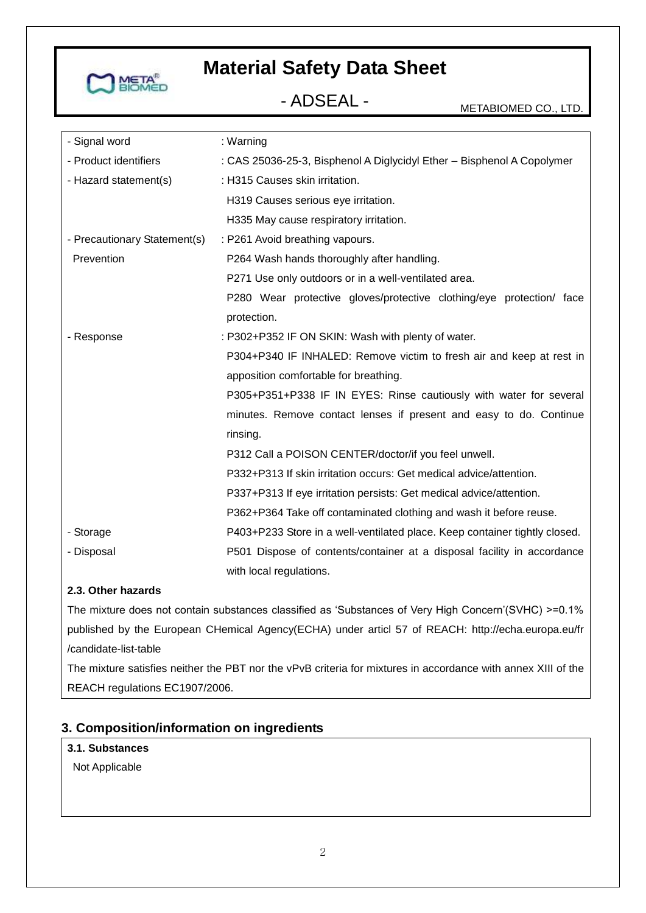

| - Signal word                | : Warning                                                                  |
|------------------------------|----------------------------------------------------------------------------|
| - Product identifiers        | : CAS 25036-25-3, Bisphenol A Diglycidyl Ether - Bisphenol A Copolymer     |
| - Hazard statement(s)        | : H315 Causes skin irritation.                                             |
|                              | H319 Causes serious eye irritation.                                        |
|                              | H335 May cause respiratory irritation.                                     |
| - Precautionary Statement(s) | : P261 Avoid breathing vapours.                                            |
| Prevention                   | P264 Wash hands thoroughly after handling.                                 |
|                              | P271 Use only outdoors or in a well-ventilated area.                       |
|                              | P280 Wear protective gloves/protective clothing/eye protection/ face       |
|                              | protection.                                                                |
| - Response                   | : P302+P352 IF ON SKIN: Wash with plenty of water.                         |
|                              | P304+P340 IF INHALED: Remove victim to fresh air and keep at rest in       |
|                              | apposition comfortable for breathing.                                      |
|                              | P305+P351+P338 IF IN EYES: Rinse cautiously with water for several         |
|                              | minutes. Remove contact lenses if present and easy to do. Continue         |
|                              | rinsing.                                                                   |
|                              | P312 Call a POISON CENTER/doctor/if you feel unwell.                       |
|                              | P332+P313 If skin irritation occurs: Get medical advice/attention.         |
|                              | P337+P313 If eye irritation persists: Get medical advice/attention.        |
|                              | P362+P364 Take off contaminated clothing and wash it before reuse.         |
| - Storage                    | P403+P233 Store in a well-ventilated place. Keep container tightly closed. |
| - Disposal                   | P501 Dispose of contents/container at a disposal facility in accordance    |
|                              | with local regulations.                                                    |

### **2.3. Other hazards**

The mixture does not contain substances classified as 'Substances of Very High Concern'(SVHC) >=0.1% published by the European CHemical Agency(ECHA) under articl 57 of REACH: http://echa.europa.eu/fr /candidate-list-table

The mixture satisfies neither the PBT nor the vPvB criteria for mixtures in accordance with annex XIII of the REACH regulations EC1907/2006.

#### **3. Composition/information on ingredients**

#### **3.1. Substances**

Not Applicable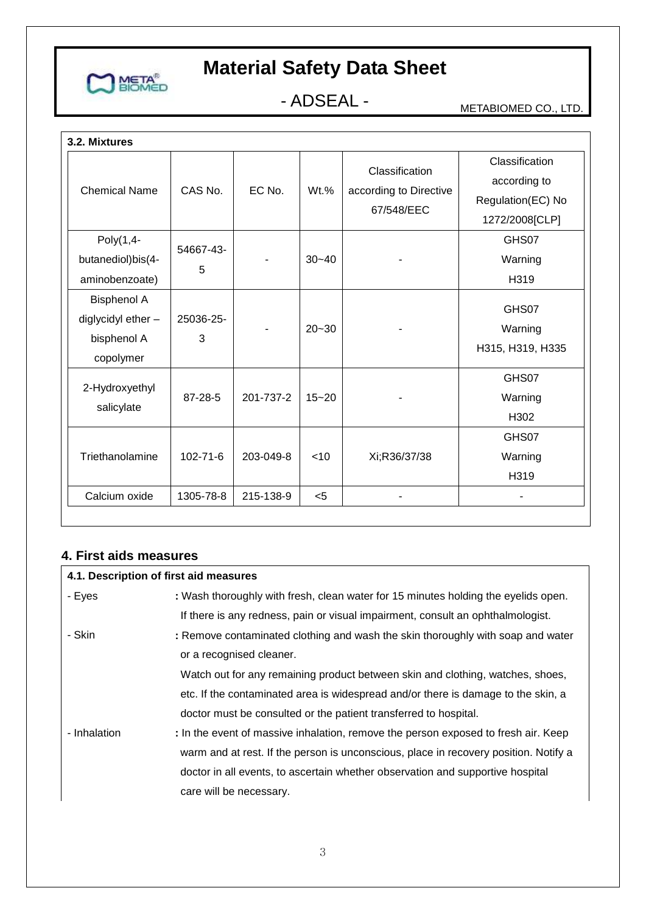

- ADSEAL - METABIOMED CO., LTD.

| 3.2. Mixtures                                                        |                |           |           |                                                        |                                                                       |
|----------------------------------------------------------------------|----------------|-----------|-----------|--------------------------------------------------------|-----------------------------------------------------------------------|
| <b>Chemical Name</b>                                                 | CAS No.        | EC No.    | $Wt.$ %   | Classification<br>according to Directive<br>67/548/EEC | Classification<br>according to<br>Regulation(EC) No<br>1272/2008[CLP] |
| Poly(1,4-<br>butanediol)bis(4-<br>aminobenzoate)                     | 54667-43-<br>5 |           | $30 - 40$ |                                                        | GHS07<br>Warning<br>H319                                              |
| <b>Bisphenol A</b><br>diglycidyl ether -<br>bisphenol A<br>copolymer | 25036-25-<br>3 |           | $20 - 30$ |                                                        | GHS07<br>Warning<br>H315, H319, H335                                  |
| 2-Hydroxyethyl<br>salicylate                                         | 87-28-5        | 201-737-2 | $15 - 20$ |                                                        | GHS07<br>Warning<br>H302                                              |
| Triethanolamine                                                      | $102 - 71 - 6$ | 203-049-8 | $<$ 10    | Xi;R36/37/38                                           | GHS07<br>Warning<br>H319                                              |
| Calcium oxide                                                        | 1305-78-8      | 215-138-9 | $5$       |                                                        |                                                                       |

### **4. First aids measures**

| 4.1. Description of first aid measures |                                                                                      |
|----------------------------------------|--------------------------------------------------------------------------------------|
| - Eyes                                 | : Wash thoroughly with fresh, clean water for 15 minutes holding the eyelids open.   |
|                                        | If there is any redness, pain or visual impairment, consult an ophthalmologist.      |
| - Skin                                 | : Remove contaminated clothing and wash the skin thoroughly with soap and water      |
|                                        | or a recognised cleaner.                                                             |
|                                        | Watch out for any remaining product between skin and clothing, watches, shoes,       |
|                                        | etc. If the contaminated area is widespread and/or there is damage to the skin, a    |
|                                        | doctor must be consulted or the patient transferred to hospital.                     |
| - Inhalation                           | : In the event of massive inhalation, remove the person exposed to fresh air. Keep   |
|                                        | warm and at rest. If the person is unconscious, place in recovery position. Notify a |
|                                        | doctor in all events, to ascertain whether observation and supportive hospital       |
|                                        | care will be necessary.                                                              |
|                                        |                                                                                      |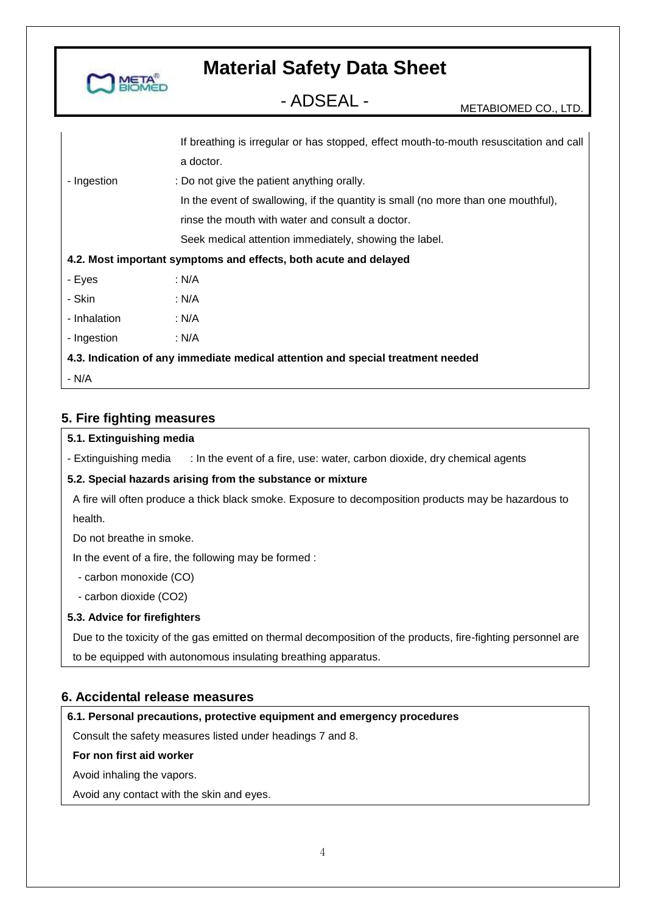

- ADSEAL - METABIOMED CO., LTD.

|              | If breathing is irregular or has stopped, effect mouth-to-mouth resuscitation and call |
|--------------|----------------------------------------------------------------------------------------|
|              | a doctor.                                                                              |
| - Ingestion  | : Do not give the patient anything orally.                                             |
|              | In the event of swallowing, if the quantity is small (no more than one mouthful),      |
|              | rinse the mouth with water and consult a doctor.                                       |
|              | Seek medical attention immediately, showing the label.                                 |
|              | 4.2. Most important symptoms and effects, both acute and delayed                       |
| - Eyes       | : N/A                                                                                  |
| - Skin       | : N/A                                                                                  |
| - Inhalation | : N/A                                                                                  |
| - Ingestion  | : N/A                                                                                  |
|              | 4.3. Indication of any immediate medical attention and special treatment needed        |
| - N/A        |                                                                                        |

#### **5. Fire fighting measures**

#### **5.1. Extinguishing media**

- Extinguishing media : In the event of a fire, use: water, carbon dioxide, dry chemical agents

#### **5.2. Special hazards arising from the substance or mixture**

A fire will often produce a thick black smoke. Exposure to decomposition products may be hazardous to health.

Do not breathe in smoke.

In the event of a fire, the following may be formed :

- carbon monoxide (CO)

- carbon dioxide (CO2)

#### **5.3. Advice for firefighters**

Due to the toxicity of the gas emitted on thermal decomposition of the products, fire-fighting personnel are

to be equipped with autonomous insulating breathing apparatus.

#### **6. Accidental release measures**

#### **6.1. Personal precautions, protective equipment and emergency procedures**

Consult the safety measures listed under headings 7 and 8.

#### **For non first aid worker**

Avoid inhaling the vapors.

Avoid any contact with the skin and eyes.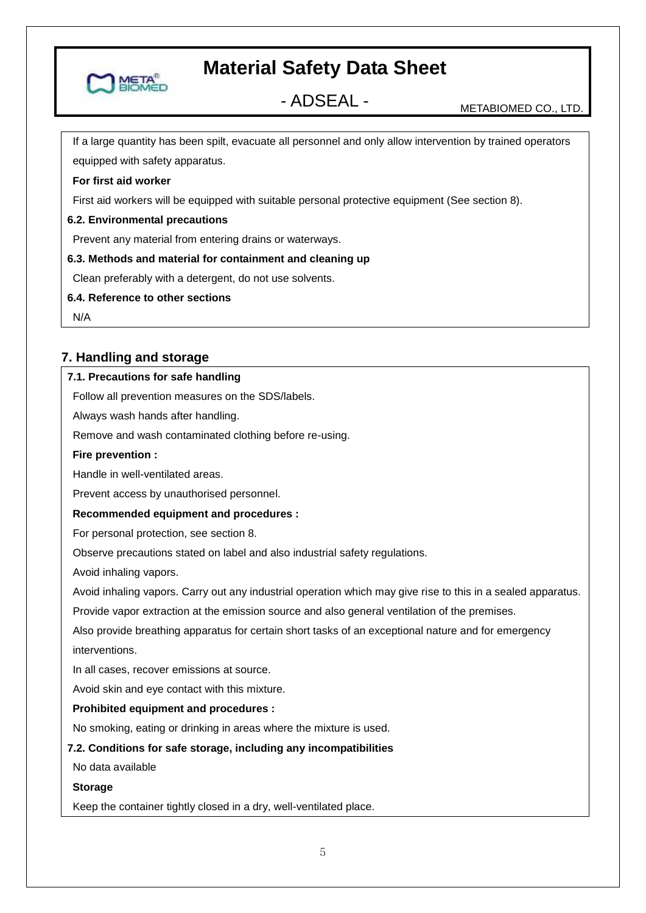

- ADSEAL - METABIOMED CO., LTD.

If a large quantity has been spilt, evacuate all personnel and only allow intervention by trained operators equipped with safety apparatus.

#### **For first aid worker**

First aid workers will be equipped with suitable personal protective equipment (See section 8).

#### **6.2. Environmental precautions**

Prevent any material from entering drains or waterways.

#### **6.3. Methods and material for containment and cleaning up**

Clean preferably with a detergent, do not use solvents.

#### **6.4. Reference to other sections**

N/A

### **7. Handling and storage**

#### **7.1. Precautions for safe handling**

Follow all prevention measures on the SDS/labels.

Always wash hands after handling.

Remove and wash contaminated clothing before re-using.

#### **Fire prevention :**

Handle in well-ventilated areas.

Prevent access by unauthorised personnel.

#### **Recommended equipment and procedures :**

For personal protection, see section 8.

Observe precautions stated on label and also industrial safety regulations.

Avoid inhaling vapors.

Avoid inhaling vapors. Carry out any industrial operation which may give rise to this in a sealed apparatus.

Provide vapor extraction at the emission source and also general ventilation of the premises.

Also provide breathing apparatus for certain short tasks of an exceptional nature and for emergency interventions.

In all cases, recover emissions at source.

Avoid skin and eye contact with this mixture.

#### **Prohibited equipment and procedures :**

No smoking, eating or drinking in areas where the mixture is used.

#### **7.2. Conditions for safe storage, including any incompatibilities**

No data available

#### **Storage**

Keep the container tightly closed in a dry, well-ventilated place.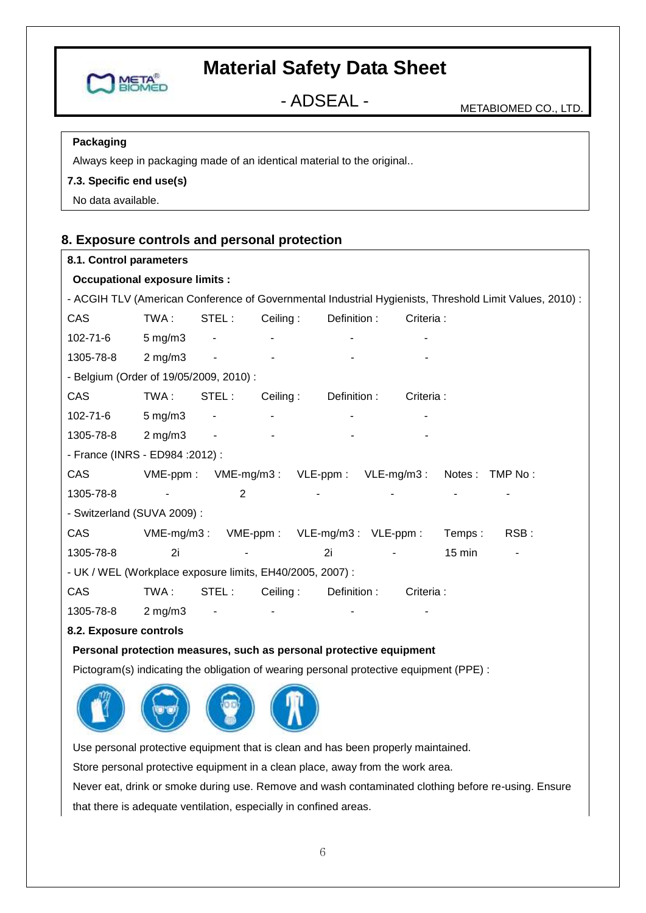

- ADSEAL - METABIOMED CO., LTD.

#### **Packaging**

Always keep in packaging made of an identical material to the original..

#### **7.3. Specific end use(s)**

No data available.

### **8. Exposure controls and personal protection**

#### **8.1. Control parameters**

#### **Occupational exposure limits :**

| <b>Occupational exposure limits:</b>                                                    |                    |                          |          |                                         |            |                  |                                                                                                         |
|-----------------------------------------------------------------------------------------|--------------------|--------------------------|----------|-----------------------------------------|------------|------------------|---------------------------------------------------------------------------------------------------------|
|                                                                                         |                    |                          |          |                                         |            |                  | - ACGIH TLV (American Conference of Governmental Industrial Hygienists, Threshold Limit Values, 2010) : |
| CAS                                                                                     | TWA:               | STEL:                    | Ceiling: | Definition :                            | Criteria : |                  |                                                                                                         |
| 102-71-6                                                                                | $5 \text{ mg/m}$ 3 | $\blacksquare$           |          |                                         |            |                  |                                                                                                         |
| 1305-78-8                                                                               | $2 \text{ mg/m}$ 3 | $\overline{\phantom{a}}$ |          |                                         |            |                  |                                                                                                         |
| - Belgium (Order of 19/05/2009, 2010) :                                                 |                    |                          |          |                                         |            |                  |                                                                                                         |
| CAS                                                                                     | TWA:               | STEL:                    | Ceiling: | Definition :                            | Criteria : |                  |                                                                                                         |
| 102-71-6                                                                                | $5 \text{ mg/m}$ 3 | $\blacksquare$           |          |                                         |            |                  |                                                                                                         |
| 1305-78-8                                                                               | $2$ mg/m $3$       | $\blacksquare$           |          |                                         |            |                  |                                                                                                         |
| - France (INRS - ED984 : 2012) :                                                        |                    |                          |          |                                         |            |                  |                                                                                                         |
| <b>CAS</b>                                                                              |                    |                          |          | VME-ppm: VME-mg/m3: VLE-ppm: VLE-mg/m3: |            | Notes: TMP No:   |                                                                                                         |
| 1305-78-8                                                                               |                    | 2                        |          |                                         |            |                  |                                                                                                         |
| - Switzerland (SUVA 2009) :                                                             |                    |                          |          |                                         |            |                  |                                                                                                         |
| CAS                                                                                     |                    |                          |          | VME-mg/m3: VME-ppm: VLE-mg/m3: VLE-ppm: |            | Temps:           | RSB:                                                                                                    |
| 1305-78-8                                                                               | 2i                 |                          |          | 2i                                      |            | $15 \text{ min}$ |                                                                                                         |
| - UK / WEL (Workplace exposure limits, EH40/2005, 2007) :                               |                    |                          |          |                                         |            |                  |                                                                                                         |
| CAS                                                                                     | TWA:               | STEL:                    | Ceiling: | Definition :                            | Criteria : |                  |                                                                                                         |
| 1305-78-8                                                                               | $2 \text{ mg/m}$   |                          |          |                                         |            |                  |                                                                                                         |
| 8.2. Exposure controls                                                                  |                    |                          |          |                                         |            |                  |                                                                                                         |
| Personal protection measures, such as personal protective equipment                     |                    |                          |          |                                         |            |                  |                                                                                                         |
| Pictogram(s) indicating the obligation of wearing personal protective equipment (PPE) : |                    |                          |          |                                         |            |                  |                                                                                                         |

Use personal protective equipment that is clean and has been properly maintained.

Store personal protective equipment in a clean place, away from the work area.

Never eat, drink or smoke during use. Remove and wash contaminated clothing before re-using. Ensure that there is adequate ventilation, especially in confined areas.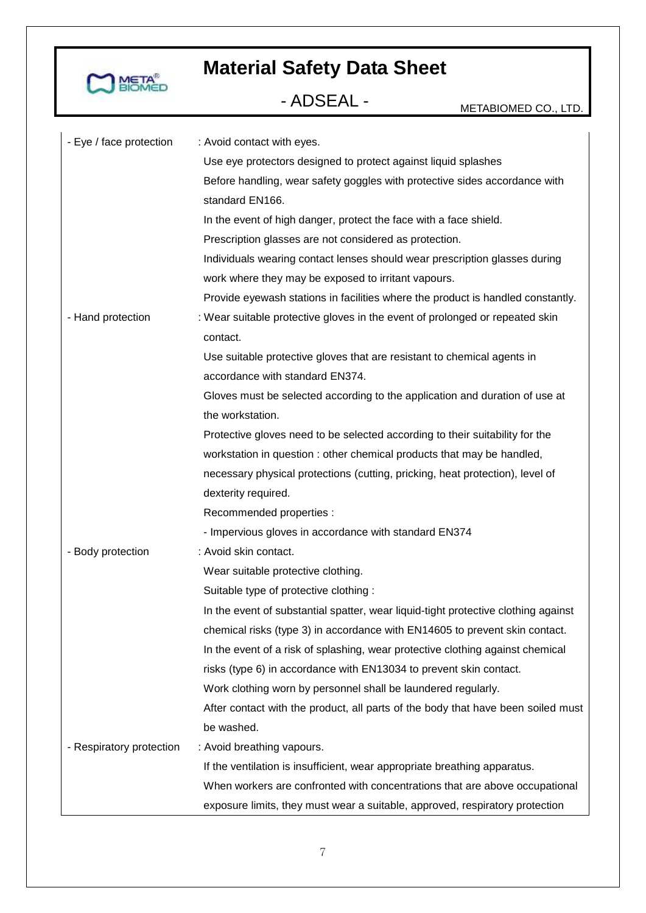

| - Eye / face protection  | : Avoid contact with eyes.                                                         |
|--------------------------|------------------------------------------------------------------------------------|
|                          | Use eye protectors designed to protect against liquid splashes                     |
|                          | Before handling, wear safety goggles with protective sides accordance with         |
|                          | standard EN166.                                                                    |
|                          | In the event of high danger, protect the face with a face shield.                  |
|                          | Prescription glasses are not considered as protection.                             |
|                          | Individuals wearing contact lenses should wear prescription glasses during         |
|                          | work where they may be exposed to irritant vapours.                                |
|                          | Provide eyewash stations in facilities where the product is handled constantly.    |
| - Hand protection        | : Wear suitable protective gloves in the event of prolonged or repeated skin       |
|                          | contact.                                                                           |
|                          | Use suitable protective gloves that are resistant to chemical agents in            |
|                          | accordance with standard EN374.                                                    |
|                          | Gloves must be selected according to the application and duration of use at        |
|                          | the workstation.                                                                   |
|                          | Protective gloves need to be selected according to their suitability for the       |
|                          | workstation in question : other chemical products that may be handled,             |
|                          | necessary physical protections (cutting, pricking, heat protection), level of      |
|                          | dexterity required.                                                                |
|                          | Recommended properties :                                                           |
|                          | - Impervious gloves in accordance with standard EN374                              |
| - Body protection        | : Avoid skin contact.                                                              |
|                          | Wear suitable protective clothing.                                                 |
|                          | Suitable type of protective clothing :                                             |
|                          | In the event of substantial spatter, wear liquid-tight protective clothing against |
|                          | chemical risks (type 3) in accordance with EN14605 to prevent skin contact.        |
|                          | In the event of a risk of splashing, wear protective clothing against chemical     |
|                          | risks (type 6) in accordance with EN13034 to prevent skin contact.                 |
|                          | Work clothing worn by personnel shall be laundered regularly.                      |
|                          | After contact with the product, all parts of the body that have been soiled must   |
|                          | be washed.                                                                         |
| - Respiratory protection | : Avoid breathing vapours.                                                         |
|                          | If the ventilation is insufficient, wear appropriate breathing apparatus.          |
|                          | When workers are confronted with concentrations that are above occupational        |
|                          | exposure limits, they must wear a suitable, approved, respiratory protection       |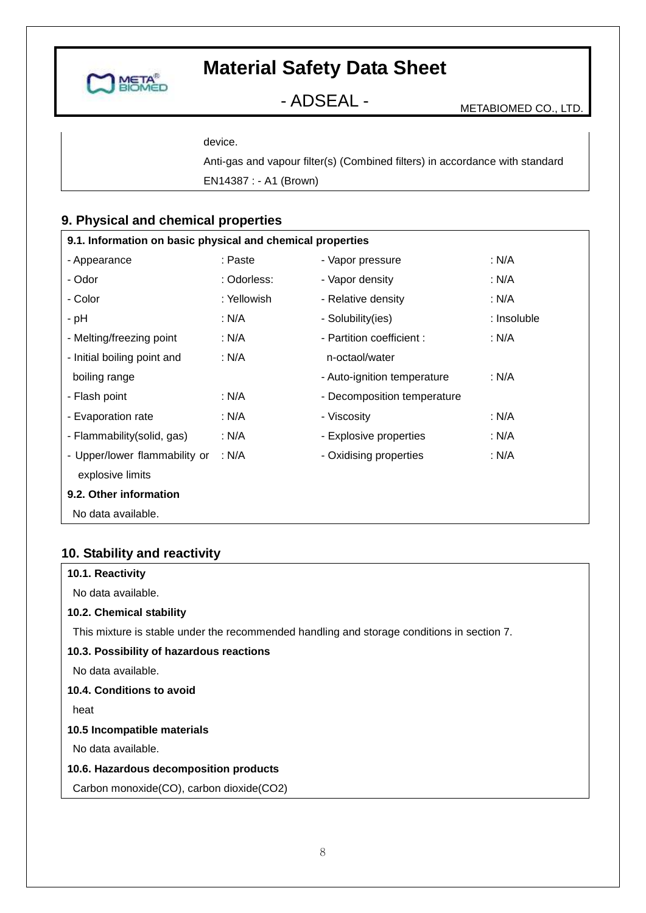

- ADSEAL - METABIOMED CO., LTD.

device.

Anti-gas and vapour filter(s) (Combined filters) in accordance with standard EN14387 : - A1 (Brown)

### **9. Physical and chemical properties**

| 9.1. Information on basic physical and chemical properties |             |                             |             |  |
|------------------------------------------------------------|-------------|-----------------------------|-------------|--|
| - Appearance                                               | : Paste     | - Vapor pressure            | : N/A       |  |
| - Odor                                                     | : Odorless: | - Vapor density             | : N/A       |  |
| - Color                                                    | : Yellowish | - Relative density          | : N/A       |  |
| - pH                                                       | : N/A       | - Solubility(ies)           | : Insoluble |  |
| - Melting/freezing point                                   | : N/A       | - Partition coefficient :   | : N/A       |  |
| - Initial boiling point and                                | : N/A       | n-octaol/water              |             |  |
| boiling range                                              |             | - Auto-ignition temperature | : N/A       |  |
| - Flash point                                              | : N/A       | - Decomposition temperature |             |  |
| - Evaporation rate                                         | : N/A       | - Viscosity                 | : N/A       |  |
| - Flammability(solid, gas)                                 | : N/A       | - Explosive properties      | : N/A       |  |
| - Upper/lower flammability or                              | : $N/A$     | - Oxidising properties      | : N/A       |  |
| explosive limits                                           |             |                             |             |  |
| 9.2. Other information                                     |             |                             |             |  |
| No data available.                                         |             |                             |             |  |

### **10. Stability and reactivity**

| 10.1. Reactivity                                                                           |
|--------------------------------------------------------------------------------------------|
| No data available.                                                                         |
| 10.2. Chemical stability                                                                   |
| This mixture is stable under the recommended handling and storage conditions in section 7. |
| 10.3. Possibility of hazardous reactions                                                   |
| No data available.                                                                         |
| 10.4. Conditions to avoid                                                                  |
| heat                                                                                       |
| 10.5 Incompatible materials                                                                |
| No data available.                                                                         |
| 10.6. Hazardous decomposition products                                                     |
| Carbon monoxide(CO), carbon dioxide(CO2)                                                   |
|                                                                                            |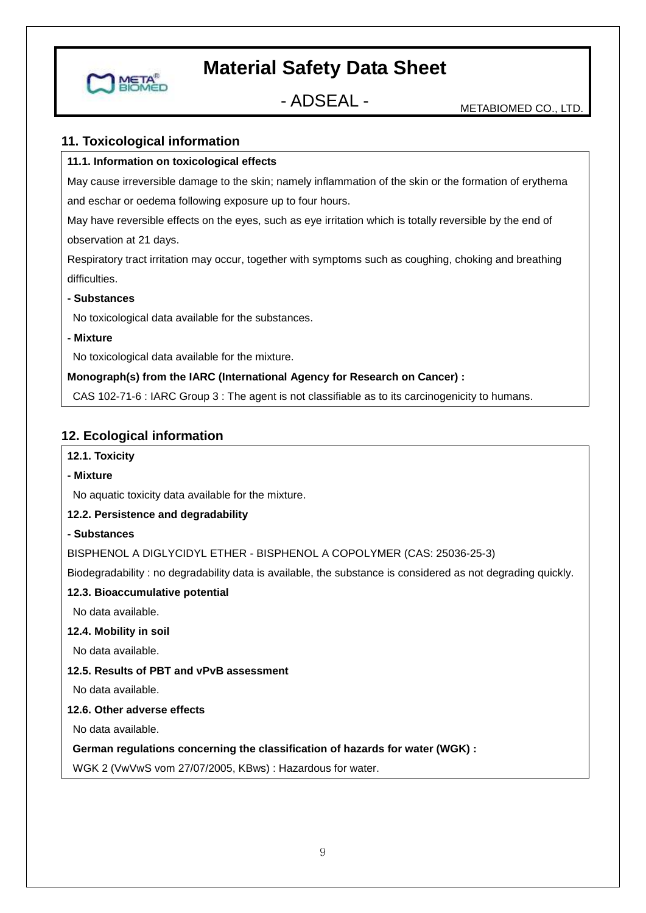

- ADSEAL - METABIOMED CO., LTD.

#### **11. Toxicological information**

#### **11.1. Information on toxicological effects**

May cause irreversible damage to the skin; namely inflammation of the skin or the formation of erythema and eschar or oedema following exposure up to four hours.

May have reversible effects on the eyes, such as eye irritation which is totally reversible by the end of observation at 21 days.

Respiratory tract irritation may occur, together with symptoms such as coughing, choking and breathing difficulties.

#### **- Substances**

No toxicological data available for the substances.

#### **- Mixture**

No toxicological data available for the mixture.

#### **Monograph(s) from the IARC (International Agency for Research on Cancer) :**

CAS 102-71-6 : IARC Group 3 : The agent is not classifiable as to its carcinogenicity to humans.

#### **12. Ecological information**

#### **12.1. Toxicity**

#### **- Mixture**

No aquatic toxicity data available for the mixture.

#### **12.2. Persistence and degradability**

#### **- Substances**

BISPHENOL A DIGLYCIDYL ETHER - BISPHENOL A COPOLYMER (CAS: 25036-25-3)

Biodegradability : no degradability data is available, the substance is considered as not degrading quickly.

#### **12.3. Bioaccumulative potential**

No data available.

#### **12.4. Mobility in soil**

No data available.

#### **12.5. Results of PBT and vPvB assessment**

No data available.

#### **12.6. Other adverse effects**

No data available.

#### **German regulations concerning the classification of hazards for water (WGK) :**

WGK 2 (VwVwS vom 27/07/2005, KBws) : Hazardous for water.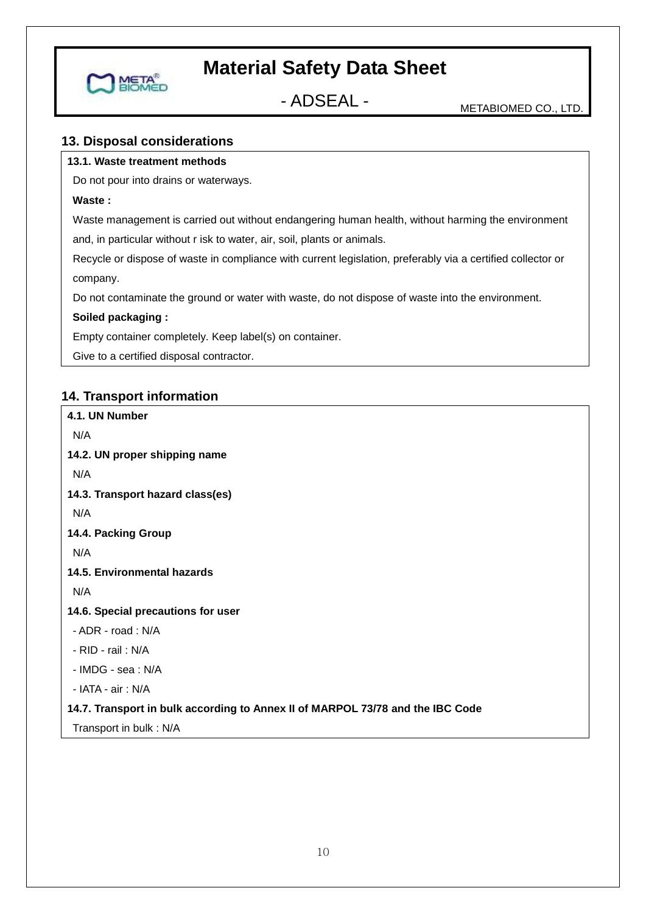

## - ADSEAL - METABIOMED CO., LTD.

#### **13. Disposal considerations**

#### **13.1. Waste treatment methods**

Do not pour into drains or waterways.

#### **Waste :**

Waste management is carried out without endangering human health, without harming the environment

and, in particular without r isk to water, air, soil, plants or animals.

Recycle or dispose of waste in compliance with current legislation, preferably via a certified collector or company.

Do not contaminate the ground or water with waste, do not dispose of waste into the environment.

#### **Soiled packaging :**

Empty container completely. Keep label(s) on container.

Give to a certified disposal contractor.

#### **14. Transport information**

```
4.1. UN Number
N/A
14.2. UN proper shipping name 
N/A
14.3. Transport hazard class(es) 
N/A
14.4. Packing Group
N/A
14.5. Environmental hazards
N/A
14.6. Special precautions for user
- ADR - road : N/A
- RID - rail : N/A
- IMDG - sea : N/A
- IATA - air : N/A
14.7. Transport in bulk according to Annex II of MARPOL 73/78 and the IBC Code
Transport in bulk : N/A
```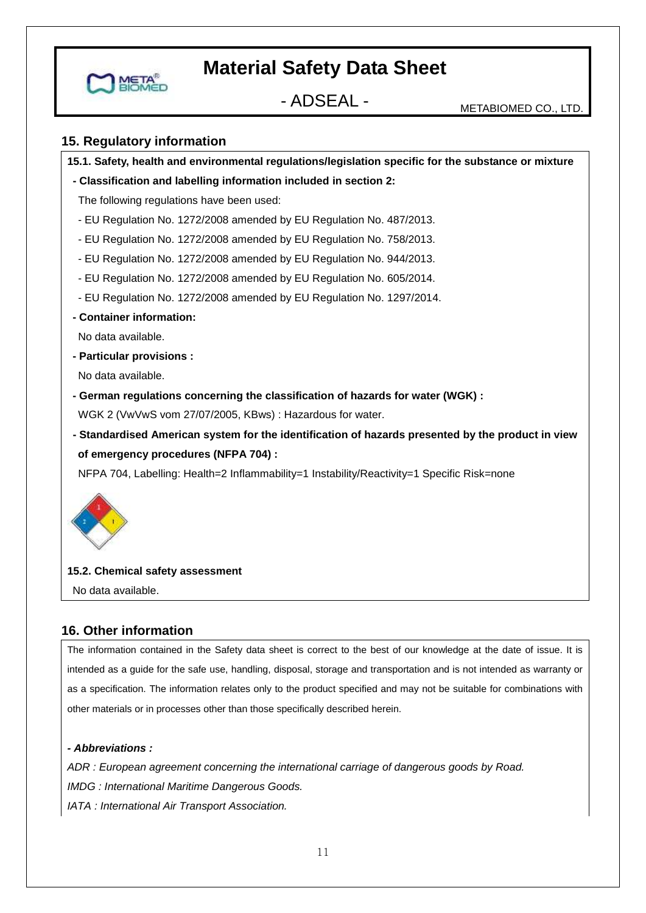

- ADSEAL - METABIOMED CO., LTD.

#### **15. Regulatory information**

**15.1. Safety, health and environmental regulations/legislation specific for the substance or mixture**

**- Classification and labelling information included in section 2:**

The following regulations have been used:

- EU Regulation No. 1272/2008 amended by EU Regulation No. 487/2013.
- EU Regulation No. 1272/2008 amended by EU Regulation No. 758/2013.
- EU Regulation No. 1272/2008 amended by EU Regulation No. 944/2013.
- EU Regulation No. 1272/2008 amended by EU Regulation No. 605/2014.
- EU Regulation No. 1272/2008 amended by EU Regulation No. 1297/2014.
- **- Container information:**

No data available.

**- Particular provisions :**

No data available.

**- German regulations concerning the classification of hazards for water (WGK) :**

WGK 2 (VwVwS vom 27/07/2005, KBws) : Hazardous for water.

**- Standardised American system for the identification of hazards presented by the product in view of emergency procedures (NFPA 704) :**

NFPA 704, Labelling: Health=2 Inflammability=1 Instability/Reactivity=1 Specific Risk=none



#### **15.2. Chemical safety assessment**

No data available.

#### **16. Other information**

The information contained in the Safety data sheet is correct to the best of our knowledge at the date of issue. It is intended as a guide for the safe use, handling, disposal, storage and transportation and is not intended as warranty or as a specification. The information relates only to the product specified and may not be suitable for combinations with other materials or in processes other than those specifically described herein.

#### *- Abbreviations :*

*ADR : European agreement concerning the international carriage of dangerous goods by Road. IMDG : International Maritime Dangerous Goods. IATA : International Air Transport Association.*